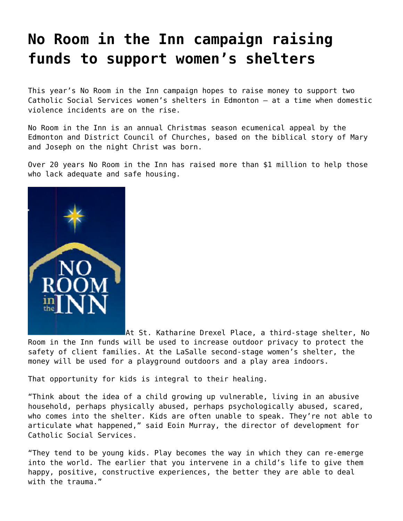## **[No Room in the Inn campaign raising](https://grandinmedia.ca/no-room-in-the-inn-campaign-raising-funds-to-support-womens-shelters/) [funds to support women's shelters](https://grandinmedia.ca/no-room-in-the-inn-campaign-raising-funds-to-support-womens-shelters/)**

This year's No Room in the Inn campaign hopes to raise money to support two Catholic Social Services women's shelters in Edmonton — at a time when domestic violence incidents are on the rise.

[No Room in the Inn](https://www.caedm.ca/NRII) is an annual Christmas season ecumenical appeal by the Edmonton and District Council of Churches, based on the biblical story of Mary and Joseph on the night Christ was born.

Over 20 years No Room in the Inn has raised more than \$1 million to help those who lack adequate and safe housing.



At [St. Katharine Drexel Place](https://www.cssalberta.ca/Our-Services/Supportive-Housing), a third-stage shelter, No Room in the Inn funds will be used to increase outdoor privacy to protect the safety of client families. At the [LaSalle](https://www.cssalberta.ca/Our-Services/Domestic-Abuse-Shelters-Support) second-stage women's shelter, the money will be used for a playground outdoors and a play area indoors.

That opportunity for kids is integral to their healing.

"Think about the idea of a child growing up vulnerable, living in an abusive household, perhaps physically abused, perhaps psychologically abused, scared, who comes into the shelter. Kids are often unable to speak. They're not able to articulate what happened," said Eoin Murray, the director of development for [Catholic Social Services](https://www.cssalberta.ca/).

"They tend to be young kids. Play becomes the way in which they can re-emerge into the world. The earlier that you intervene in a child's life to give them happy, positive, constructive experiences, the better they are able to deal with the trauma."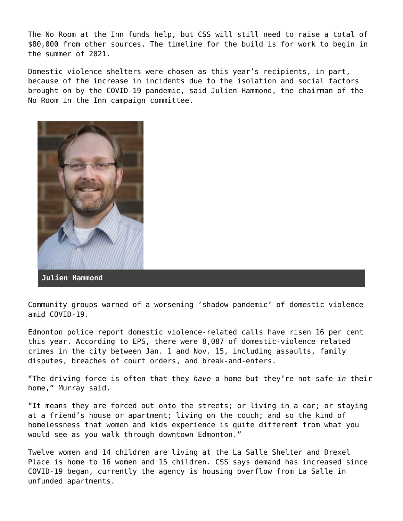The No Room at the Inn funds help, but CSS will still need to raise a total of \$80,000 from other sources. The timeline for the build is for work to begin in the summer of 2021.

Domestic violence shelters were chosen as this year's recipients, in part, because of the increase in incidents due to the isolation and social factors brought on by the COVID-19 pandemic, said Julien Hammond, the chairman of the No Room in the Inn campaign committee.



Community groups warned of a worsening ['shadow pandemic' o](https://www.unwomen.org/en/news/in-focus/in-focus-gender-equality-in-covid-19-response/violence-against-women-during-covid-19)f domestic violence amid COVID-19.

Edmonton police report domestic violence-related calls have risen 16 per cent this year. According to EPS, there were 8,087 of domestic-violence related crimes in the city between Jan. 1 and Nov. 15, including assaults, family disputes, breaches of court orders, and break-and-enters.

"The driving force is often that they *have* a home but they're not safe *in* their home," Murray said.

"It means they are forced out onto the streets; or living in a car; or staying at a friend's house or apartment; living on the couch; and so the kind of homelessness that women and kids experience is quite different from what you would see as you walk through downtown Edmonton."

Twelve women and 14 children are living at the La Salle Shelter and Drexel Place is home to 16 women and 15 children. CSS says demand has increased since COVID-19 began, currently the agency is housing overflow from La Salle in unfunded apartments.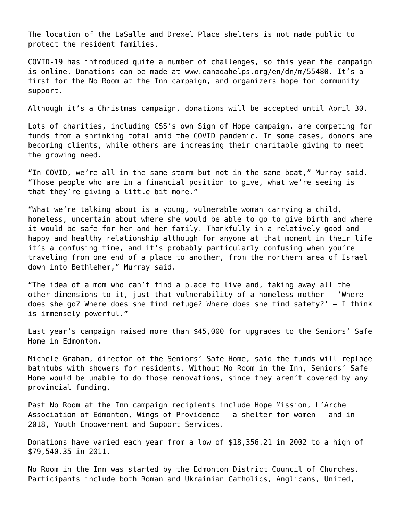The location of the LaSalle and Drexel Place shelters is not made public to protect the resident families.

COVID-19 has introduced quite a number of challenges, so this year the campaign is online. Donations can be made at [www.canadahelps.org/en/dn/m/55480](http://www.canadahelps.org/en/dn/m/55480). It's a first for the No Room at the Inn campaign, and organizers hope for community support.

Although it's a Christmas campaign, donations will be accepted until April 30.

Lots of charities, including CSS's own Sign of Hope campaign, are competing for funds from a shrinking total amid the COVID pandemic. In some cases, donors are becoming clients, while others are increasing their charitable giving to meet the growing need.

"In COVID, we're all in the same storm but not in the same boat," Murray said. "Those people who are in a financial position to give, what we're seeing is that they're giving a little bit more."

"What we're talking about is a young, vulnerable woman carrying a child, homeless, uncertain about where she would be able to go to give birth and where it would be safe for her and her family. Thankfully in a relatively good and happy and healthy relationship although for anyone at that moment in their life it's a confusing time, and it's probably particularly confusing when you're traveling from one end of a place to another, from the northern area of Israel down into Bethlehem," Murray said.

"The idea of a mom who can't find a place to live and, taking away all the other dimensions to it, just that vulnerability of a homeless mother — 'Where does she go? Where does she find refuge? Where does she find safety?'  $-$  I think is immensely powerful."

Last year's campaign raised more than \$45,000 for upgrades to the Seniors' Safe Home in Edmonton.

Michele Graham, director of the Seniors' Safe Home, said the funds will replace bathtubs with showers for residents. Without No Room in the Inn, Seniors' Safe Home would be unable to do those renovations, since they aren't covered by any provincial funding.

Past No Room at the Inn campaign recipients include Hope Mission, L'Arche Association of Edmonton, Wings of Providence — a shelter for women — and in 2018, Youth Empowerment and Support Services.

Donations have varied each year from a low of \$18,356.21 in 2002 to a high of \$79,540.35 in 2011.

No Room in the Inn was started by the Edmonton District Council of Churches. Participants include both Roman and Ukrainian Catholics, Anglicans, United,